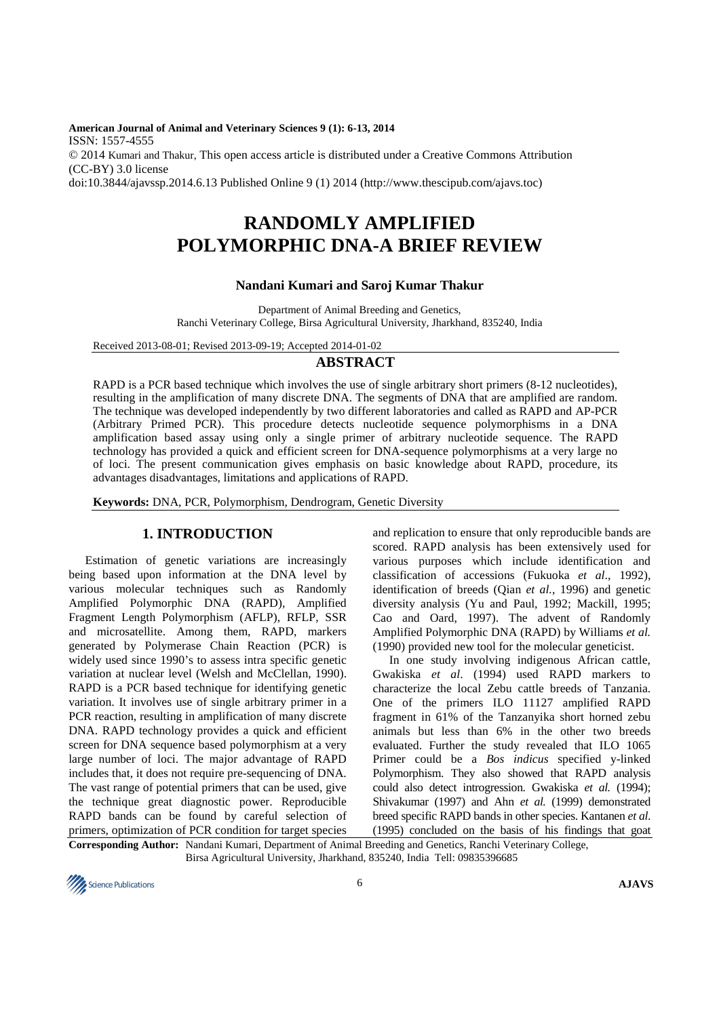**American Journal of Animal and Veterinary Sciences 9 (1): 6-13, 2014**  ISSN: 1557-4555 © 2014 Kumari and Thakur, This open access article is distributed under a Creative Commons Attribution (CC-BY) 3.0 license doi:10.3844/ajavssp.2014.6.13 Published Online 9 (1) 2014 (http://www.thescipub.com/ajavs.toc)

# **RANDOMLY AMPLIFIED POLYMORPHIC DNA-A BRIEF REVIEW**

# **Nandani Kumari and Saroj Kumar Thakur**

Department of Animal Breeding and Genetics, Ranchi Veterinary College, Birsa Agricultural University, Jharkhand, 835240, India

Received 2013-08-01; Revised 2013-09-19; Accepted 2014-01-02

# **ABSTRACT**

RAPD is a PCR based technique which involves the use of single arbitrary short primers (8-12 nucleotides), resulting in the amplification of many discrete DNA. The segments of DNA that are amplified are random. The technique was developed independently by two different laboratories and called as RAPD and AP-PCR (Arbitrary Primed PCR). This procedure detects nucleotide sequence polymorphisms in a DNA amplification based assay using only a single primer of arbitrary nucleotide sequence. The RAPD technology has provided a quick and efficient screen for DNA-sequence polymorphisms at a very large no of loci. The present communication gives emphasis on basic knowledge about RAPD, procedure, its advantages disadvantages, limitations and applications of RAPD.

**Keywords:** DNA, PCR, Polymorphism, Dendrogram, Genetic Diversity

# **1. INTRODUCTION**

Estimation of genetic variations are increasingly being based upon information at the DNA level by various molecular techniques such as Randomly Amplified Polymorphic DNA (RAPD), Amplified Fragment Length Polymorphism (AFLP), RFLP, SSR and microsatellite. Among them, RAPD, markers generated by Polymerase Chain Reaction (PCR) is widely used since 1990's to assess intra specific genetic variation at nuclear level (Welsh and McClellan, 1990). RAPD is a PCR based technique for identifying genetic variation. It involves use of single arbitrary primer in a PCR reaction, resulting in amplification of many discrete DNA. RAPD technology provides a quick and efficient screen for DNA sequence based polymorphism at a very large number of loci. The major advantage of RAPD includes that, it does not require pre-sequencing of DNA. The vast range of potential primers that can be used, give the technique great diagnostic power. Reproducible RAPD bands can be found by careful selection of primers, optimization of PCR condition for target species and replication to ensure that only reproducible bands are scored. RAPD analysis has been extensively used for various purposes which include identification and classification of accessions (Fukuoka *et al*., 1992), identification of breeds (Qian *et al.*, 1996) and genetic diversity analysis (Yu and Paul, 1992; Mackill, 1995; Cao and Oard, 1997). The advent of Randomly Amplified Polymorphic DNA (RAPD) by Williams *et al.* (1990) provided new tool for the molecular geneticist.

In one study involving indigenous African cattle, Gwakiska *et al*. (1994) used RAPD markers to characterize the local Zebu cattle breeds of Tanzania. One of the primers ILO 11127 amplified RAPD fragment in 61% of the Tanzanyika short horned zebu animals but less than 6% in the other two breeds evaluated. Further the study revealed that ILO 1065 Primer could be a *Bos indicus* specified y-linked Polymorphism. They also showed that RAPD analysis could also detect introgression. Gwakiska *et al.* (1994); Shivakumar (1997) and Ahn *et al.* (1999) demonstrated breed specific RAPD bands in other species. Kantanen *et al*. (1995) concluded on the basis of his findings that goat

**Corresponding Author:** Nandani Kumari, Department of Animal Breeding and Genetics, Ranchi Veterinary College, Birsa Agricultural University, Jharkhand, 835240, India Tell: 09835396685

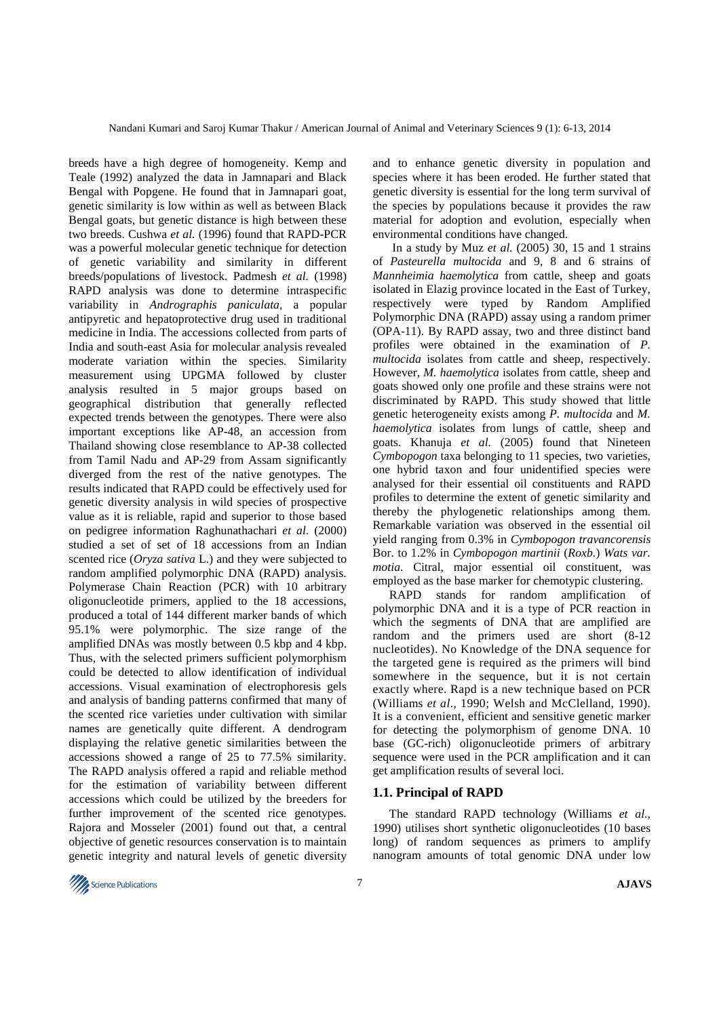breeds have a high degree of homogeneity. Kemp and Teale (1992) analyzed the data in Jamnapari and Black Bengal with Popgene. He found that in Jamnapari goat, genetic similarity is low within as well as between Black Bengal goats, but genetic distance is high between these two breeds. Cushwa *et al.* (1996) found that RAPD-PCR was a powerful molecular genetic technique for detection of genetic variability and similarity in different breeds/populations of livestock. Padmesh *et al.* (1998) RAPD analysis was done to determine intraspecific variability in *Andrographis paniculata*, a popular antipyretic and hepatoprotective drug used in traditional medicine in India. The accessions collected from parts of India and south-east Asia for molecular analysis revealed moderate variation within the species. Similarity measurement using UPGMA followed by cluster analysis resulted in 5 major groups based on geographical distribution that generally reflected expected trends between the genotypes. There were also important exceptions like AP-48, an accession from Thailand showing close resemblance to AP-38 collected from Tamil Nadu and AP-29 from Assam significantly diverged from the rest of the native genotypes. The results indicated that RAPD could be effectively used for genetic diversity analysis in wild species of prospective value as it is reliable, rapid and superior to those based on pedigree information Raghunathachari *et al.* (2000) studied a set of set of 18 accessions from an Indian scented rice (*Oryza sativa* L.) and they were subjected to random amplified polymorphic DNA (RAPD) analysis. Polymerase Chain Reaction (PCR) with 10 arbitrary oligonucleotide primers, applied to the 18 accessions, produced a total of 144 different marker bands of which 95.1% were polymorphic. The size range of the amplified DNAs was mostly between 0.5 kbp and 4 kbp. Thus, with the selected primers sufficient polymorphism could be detected to allow identification of individual accessions. Visual examination of electrophoresis gels and analysis of banding patterns confirmed that many of the scented rice varieties under cultivation with similar names are genetically quite different. A dendrogram displaying the relative genetic similarities between the accessions showed a range of 25 to 77.5% similarity. The RAPD analysis offered a rapid and reliable method for the estimation of variability between different accessions which could be utilized by the breeders for further improvement of the scented rice genotypes. Rajora and Mosseler (2001) found out that, a central objective of genetic resources conservation is to maintain genetic integrity and natural levels of genetic diversity

and to enhance genetic diversity in population and species where it has been eroded. He further stated that genetic diversity is essential for the long term survival of the species by populations because it provides the raw material for adoption and evolution, especially when environmental conditions have changed.

 In a study by Muz *et al.* (2005) 30, 15 and 1 strains of *Pasteurella multocida* and 9, 8 and 6 strains of *Mannheimia haemolytica* from cattle, sheep and goats isolated in Elazig province located in the East of Turkey, respectively were typed by Random Amplified Polymorphic DNA (RAPD) assay using a random primer (OPA-11). By RAPD assay, two and three distinct band profiles were obtained in the examination of *P. multocida* isolates from cattle and sheep, respectively. However, *M. haemolytica* isolates from cattle, sheep and goats showed only one profile and these strains were not discriminated by RAPD. This study showed that little genetic heterogeneity exists among *P. multocida* and *M. haemolytica* isolates from lungs of cattle, sheep and goats. Khanuja *et al.* (2005) found that Nineteen *Cymbopogon* taxa belonging to 11 species, two varieties, one hybrid taxon and four unidentified species were analysed for their essential oil constituents and RAPD profiles to determine the extent of genetic similarity and thereby the phylogenetic relationships among them. Remarkable variation was observed in the essential oil yield ranging from 0.3% in *Cymbopogon travancorensis* Bor. to 1.2% in *Cymbopogon martinii* (*Roxb.*) *Wats var. motia*. Citral, major essential oil constituent, was employed as the base marker for chemotypic clustering.

RAPD stands for random amplification of polymorphic DNA and it is a type of PCR reaction in which the segments of DNA that are amplified are random and the primers used are short (8-12 nucleotides). No Knowledge of the DNA sequence for the targeted gene is required as the primers will bind somewhere in the sequence, but it is not certain exactly where. Rapd is a new technique based on PCR (Williams *et al*., 1990; Welsh and McClelland, 1990). It is a convenient, efficient and sensitive genetic marker for detecting the polymorphism of genome DNA. 10 base (GC-rich) oligonucleotide primers of arbitrary sequence were used in the PCR amplification and it can get amplification results of several loci.

# **1.1. Principal of RAPD**

The standard RAPD technology (Williams *et al*., 1990) utilises short synthetic oligonucleotides (10 bases long) of random sequences as primers to amplify nanogram amounts of total genomic DNA under low

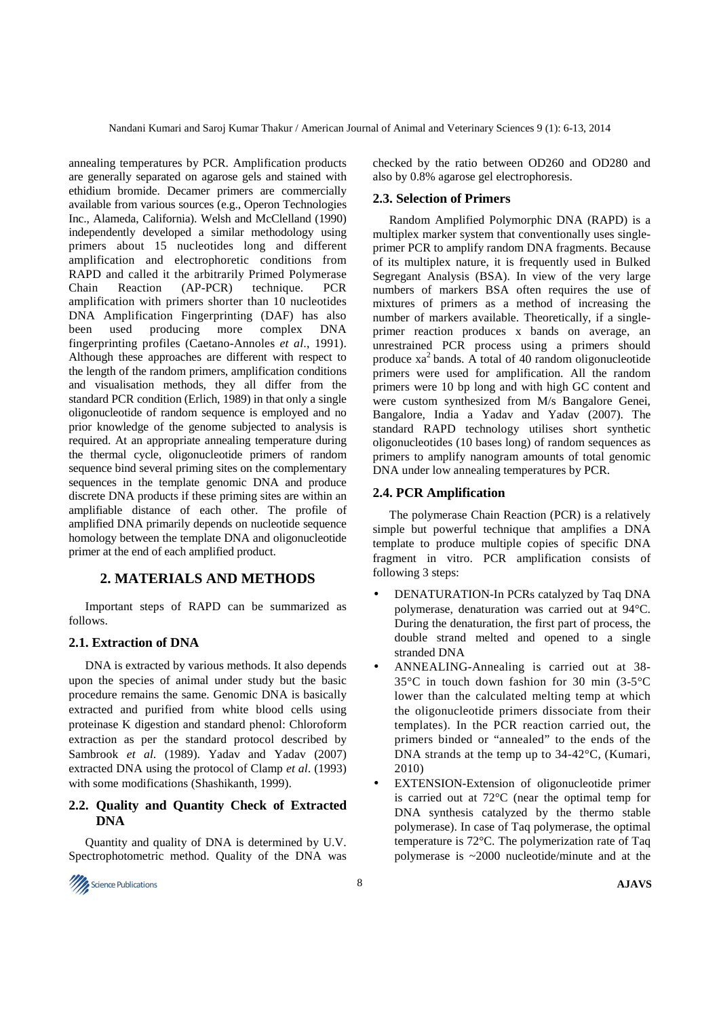annealing temperatures by PCR. Amplification products are generally separated on agarose gels and stained with ethidium bromide. Decamer primers are commercially available from various sources (e.g., Operon Technologies Inc., Alameda, California). Welsh and McClelland (1990) independently developed a similar methodology using primers about 15 nucleotides long and different amplification and electrophoretic conditions from RAPD and called it the arbitrarily Primed Polymerase Chain Reaction (AP-PCR) technique. PCR amplification with primers shorter than 10 nucleotides DNA Amplification Fingerprinting (DAF) has also been used producing more complex DNA fingerprinting profiles (Caetano-Annoles *et al*., 1991). Although these approaches are different with respect to the length of the random primers, amplification conditions and visualisation methods, they all differ from the standard PCR condition (Erlich, 1989) in that only a single oligonucleotide of random sequence is employed and no prior knowledge of the genome subjected to analysis is required. At an appropriate annealing temperature during the thermal cycle, oligonucleotide primers of random sequence bind several priming sites on the complementary sequences in the template genomic DNA and produce discrete DNA products if these priming sites are within an amplifiable distance of each other. The profile of amplified DNA primarily depends on nucleotide sequence homology between the template DNA and oligonucleotide primer at the end of each amplified product.

## **2. MATERIALS AND METHODS**

Important steps of RAPD can be summarized as follows.

## **2.1. Extraction of DNA**

DNA is extracted by various methods. It also depends upon the species of animal under study but the basic procedure remains the same. Genomic DNA is basically extracted and purified from white blood cells using proteinase K digestion and standard phenol: Chloroform extraction as per the standard protocol described by Sambrook *et al*. (1989). Yadav and Yadav (2007) extracted DNA using the protocol of Clamp *et al*. (1993) with some modifications (Shashikanth, 1999).

# **2.2. Quality and Quantity Check of Extracted DNA**

Quantity and quality of DNA is determined by U.V. Spectrophotometric method. Quality of the DNA was



checked by the ratio between OD260 and OD280 and also by 0.8% agarose gel electrophoresis.

#### **2.3. Selection of Primers**

Random Amplified Polymorphic DNA (RAPD) is a multiplex marker system that conventionally uses singleprimer PCR to amplify random DNA fragments. Because of its multiplex nature, it is frequently used in Bulked Segregant Analysis (BSA). In view of the very large numbers of markers BSA often requires the use of mixtures of primers as a method of increasing the number of markers available. Theoretically, if a singleprimer reaction produces x bands on average, an unrestrained PCR process using a primers should produce  $xa^2$  bands. A total of 40 random oligonucleotide primers were used for amplification. All the random primers were 10 bp long and with high GC content and were custom synthesized from M/s Bangalore Genei, Bangalore, India a Yadav and Yadav (2007). The standard RAPD technology utilises short synthetic oligonucleotides (10 bases long) of random sequences as primers to amplify nanogram amounts of total genomic DNA under low annealing temperatures by PCR.

#### **2.4. PCR Amplification**

The polymerase Chain Reaction (PCR) is a relatively simple but powerful technique that amplifies a DNA template to produce multiple copies of specific DNA fragment in vitro. PCR amplification consists of following 3 steps:

- DENATURATION-In PCRs catalyzed by Taq DNA polymerase, denaturation was carried out at 94°C. During the denaturation, the first part of process, the double strand melted and opened to a single stranded DNA
- ANNEALING-Annealing is carried out at 38- 35°C in touch down fashion for 30 min (3-5°C lower than the calculated melting temp at which the oligonucleotide primers dissociate from their templates). In the PCR reaction carried out, the primers binded or "annealed" to the ends of the DNA strands at the temp up to 34-42°C, (Kumari, 2010)
- EXTENSION-Extension of oligonucleotide primer is carried out at 72°C (near the optimal temp for DNA synthesis catalyzed by the thermo stable polymerase). In case of Taq polymerase, the optimal temperature is 72°C. The polymerization rate of Taq polymerase is ~2000 nucleotide/minute and at the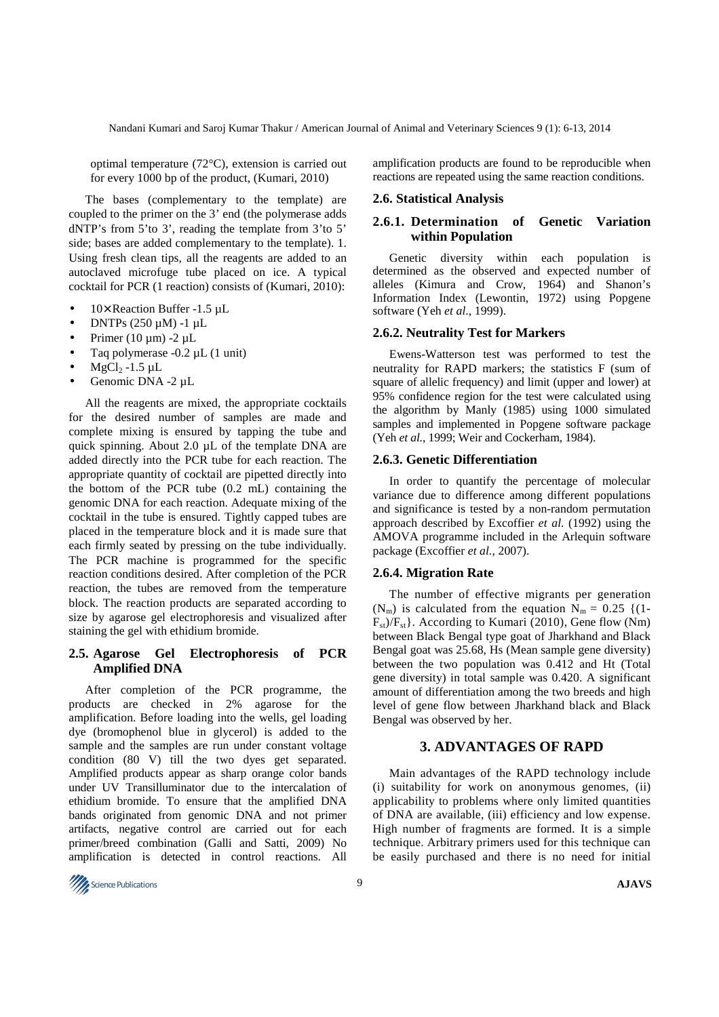Nandani Kumari and Saroj Kumar Thakur / American Journal of Animal and Veterinary Sciences 9 (1): 6-13, 2014

optimal temperature (72°C), extension is carried out for every 1000 bp of the product, (Kumari, 2010)

The bases (complementary to the template) are coupled to the primer on the 3' end (the polymerase adds dNTP's from 5'to 3', reading the template from 3'to 5' side; bases are added complementary to the template). 1. Using fresh clean tips, all the reagents are added to an autoclaved microfuge tube placed on ice. A typical cocktail for PCR (1 reaction) consists of (Kumari, 2010):

- 10× Reaction Buffer -1.5 µL
- DNTPs (250 µM) -1 µL
- Primer  $(10 \mu m)$  -2  $\mu L$
- Taq polymerase -0.2 µL (1 unit)
- $MgCl<sub>2</sub> -1.5 \mu L$
- Genomic DNA -2 µL

All the reagents are mixed, the appropriate cocktails for the desired number of samples are made and complete mixing is ensured by tapping the tube and quick spinning. About 2.0 µL of the template DNA are added directly into the PCR tube for each reaction. The appropriate quantity of cocktail are pipetted directly into the bottom of the PCR tube (0.2 mL) containing the genomic DNA for each reaction. Adequate mixing of the cocktail in the tube is ensured. Tightly capped tubes are placed in the temperature block and it is made sure that each firmly seated by pressing on the tube individually. The PCR machine is programmed for the specific reaction conditions desired. After completion of the PCR reaction, the tubes are removed from the temperature block. The reaction products are separated according to size by agarose gel electrophoresis and visualized after staining the gel with ethidium bromide.

## **2.5. Agarose Gel Electrophoresis of PCR Amplified DNA**

After completion of the PCR programme, the products are checked in 2% agarose for the amplification. Before loading into the wells, gel loading dye (bromophenol blue in glycerol) is added to the sample and the samples are run under constant voltage condition (80 V) till the two dyes get separated. Amplified products appear as sharp orange color bands under UV Transilluminator due to the intercalation of ethidium bromide. To ensure that the amplified DNA bands originated from genomic DNA and not primer artifacts, negative control are carried out for each primer/breed combination (Galli and Satti, 2009) No amplification is detected in control reactions. All

amplification products are found to be reproducible when reactions are repeated using the same reaction conditions.

#### **2.6. Statistical Analysis**

# **2.6.1. Determination of Genetic Variation within Population**

Genetic diversity within each population is determined as the observed and expected number of alleles (Kimura and Crow, 1964) and Shanon's Information Index (Lewontin, 1972) using Popgene software (Yeh *et al*., 1999).

## **2.6.2. Neutrality Test for Markers**

Ewens-Watterson test was performed to test the neutrality for RAPD markers; the statistics F (sum of square of allelic frequency) and limit (upper and lower) at 95% confidence region for the test were calculated using the algorithm by Manly (1985) using 1000 simulated samples and implemented in Popgene software package (Yeh *et al.*, 1999; Weir and Cockerham, 1984).

#### **2.6.3. Genetic Differentiation**

In order to quantify the percentage of molecular variance due to difference among different populations and significance is tested by a non-random permutation approach described by Excoffier *et al.* (1992) using the AMOVA programme included in the Arlequin software package (Excoffier *et al.*, 2007).

#### **2.6.4. Migration Rate**

The number of effective migrants per generation  $(N<sub>m</sub>)$  is calculated from the equation  $N<sub>m</sub> = 0.25$  {(1- $F_{st}/F_{st}$ . According to Kumari (2010), Gene flow (Nm) between Black Bengal type goat of Jharkhand and Black Bengal goat was 25.68, Hs (Mean sample gene diversity) between the two population was 0.412 and Ht (Total gene diversity) in total sample was 0.420. A significant amount of differentiation among the two breeds and high level of gene flow between Jharkhand black and Black Bengal was observed by her.

# **3. ADVANTAGES OF RAPD**

Main advantages of the RAPD technology include (i) suitability for work on anonymous genomes, (ii) applicability to problems where only limited quantities of DNA are available, (iii) efficiency and low expense. High number of fragments are formed. It is a simple technique. Arbitrary primers used for this technique can be easily purchased and there is no need for initial

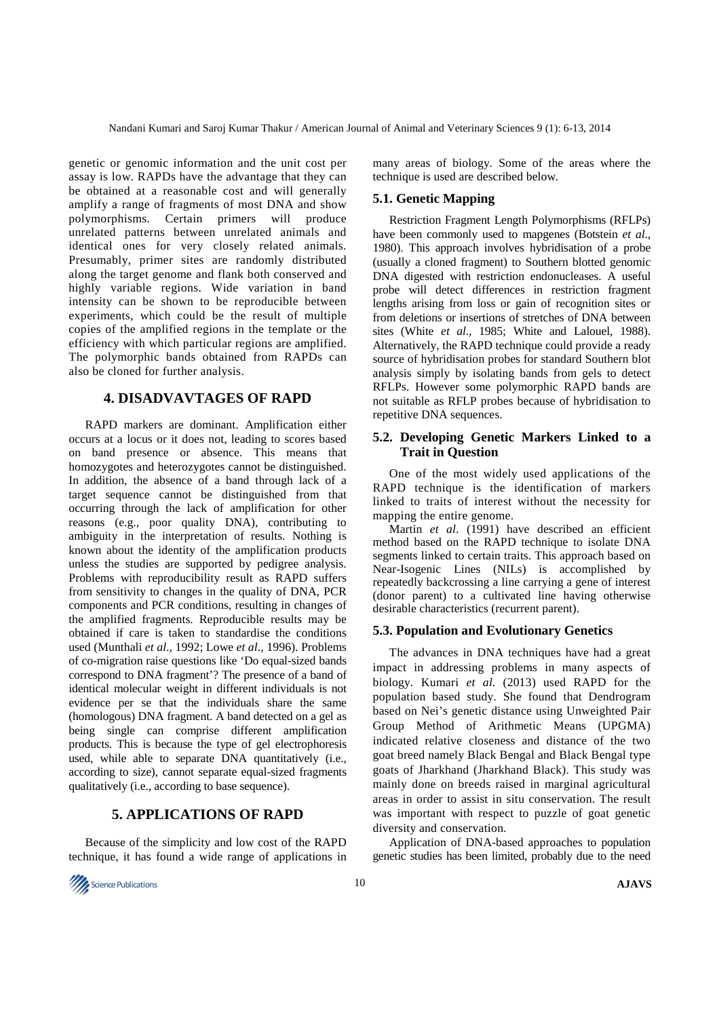genetic or genomic information and the unit cost per assay is low. RAPDs have the advantage that they can be obtained at a reasonable cost and will generally amplify a range of fragments of most DNA and show polymorphisms. Certain primers will produce unrelated patterns between unrelated animals and identical ones for very closely related animals. Presumably, primer sites are randomly distributed along the target genome and flank both conserved and highly variable regions. Wide variation in band intensity can be shown to be reproducible between experiments, which could be the result of multiple copies of the amplified regions in the template or the efficiency with which particular regions are amplified. The polymorphic bands obtained from RAPDs can also be cloned for further analysis.

# **4. DISADVAVTAGES OF RAPD**

RAPD markers are dominant. Amplification either occurs at a locus or it does not, leading to scores based on band presence or absence. This means that homozygotes and heterozygotes cannot be distinguished. In addition, the absence of a band through lack of a target sequence cannot be distinguished from that occurring through the lack of amplification for other reasons (e.g., poor quality DNA), contributing to ambiguity in the interpretation of results. Nothing is known about the identity of the amplification products unless the studies are supported by pedigree analysis. Problems with reproducibility result as RAPD suffers from sensitivity to changes in the quality of DNA, PCR components and PCR conditions, resulting in changes of the amplified fragments. Reproducible results may be obtained if care is taken to standardise the conditions used (Munthali *et al*., 1992; Lowe *et al*., 1996). Problems of co-migration raise questions like 'Do equal-sized bands correspond to DNA fragment'? The presence of a band of identical molecular weight in different individuals is not evidence per se that the individuals share the same (homologous) DNA fragment. A band detected on a gel as being single can comprise different amplification products. This is because the type of gel electrophoresis used, while able to separate DNA quantitatively (i.e., according to size), cannot separate equal-sized fragments qualitatively (i.e., according to base sequence).

# **5. APPLICATIONS OF RAPD**

Because of the simplicity and low cost of the RAPD technique, it has found a wide range of applications in

**Science Publications** and the science Publications and the science Publications and the science Publications and **AJAVS AJAVS** 

many areas of biology. Some of the areas where the technique is used are described below.

# **5.1. Genetic Mapping**

Restriction Fragment Length Polymorphisms (RFLPs) have been commonly used to mapgenes (Botstein *et al*., 1980). This approach involves hybridisation of a probe (usually a cloned fragment) to Southern blotted genomic DNA digested with restriction endonucleases. A useful probe will detect differences in restriction fragment lengths arising from loss or gain of recognition sites or from deletions or insertions of stretches of DNA between sites (White *et al*., 1985; White and Lalouel, 1988). Alternatively, the RAPD technique could provide a ready source of hybridisation probes for standard Southern blot analysis simply by isolating bands from gels to detect RFLPs. However some polymorphic RAPD bands are not suitable as RFLP probes because of hybridisation to repetitive DNA sequences.

# **5.2. Developing Genetic Markers Linked to a Trait in Question**

One of the most widely used applications of the RAPD technique is the identification of markers linked to traits of interest without the necessity for mapping the entire genome.

Martin *et al*. (1991) have described an efficient method based on the RAPD technique to isolate DNA segments linked to certain traits. This approach based on Near-Isogenic Lines (NILs) is accomplished by repeatedly backcrossing a line carrying a gene of interest (donor parent) to a cultivated line having otherwise desirable characteristics (recurrent parent).

# **5.3. Population and Evolutionary Genetics**

The advances in DNA techniques have had a great impact in addressing problems in many aspects of biology. Kumari *et al*. (2013) used RAPD for the population based study. She found that Dendrogram based on Nei's genetic distance using Unweighted Pair Group Method of Arithmetic Means (UPGMA) indicated relative closeness and distance of the two goat breed namely Black Bengal and Black Bengal type goats of Jharkhand (Jharkhand Black). This study was mainly done on breeds raised in marginal agricultural areas in order to assist in situ conservation. The result was important with respect to puzzle of goat genetic diversity and conservation.

Application of DNA-based approaches to population genetic studies has been limited, probably due to the need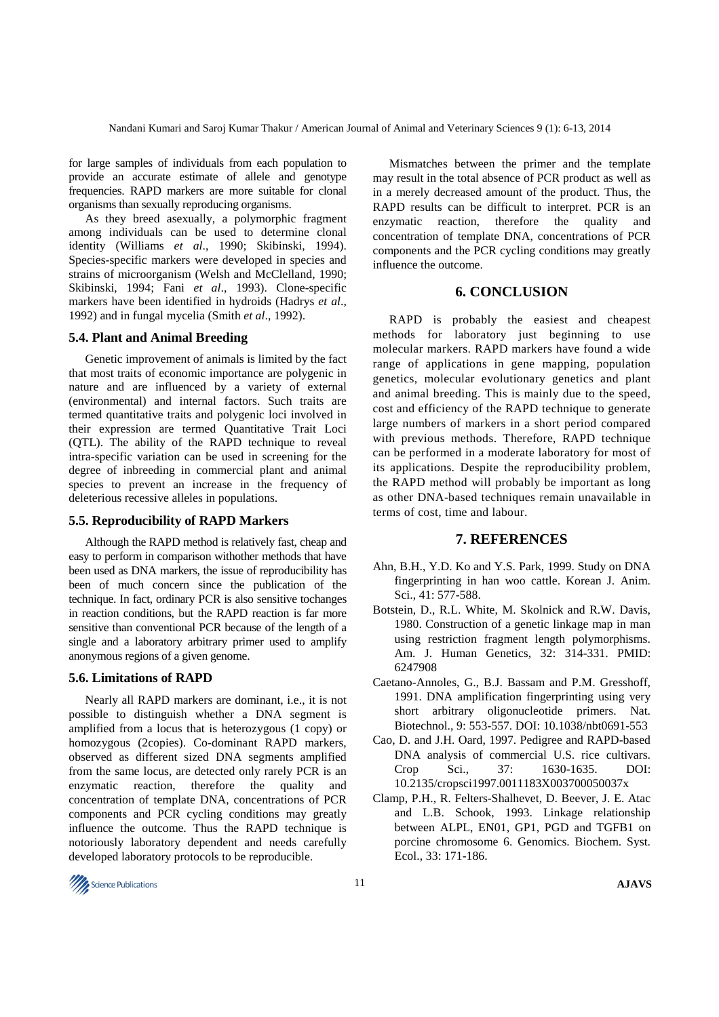for large samples of individuals from each population to provide an accurate estimate of allele and genotype frequencies. RAPD markers are more suitable for clonal organisms than sexually reproducing organisms.

As they breed asexually, a polymorphic fragment among individuals can be used to determine clonal identity (Williams *et al*., 1990; Skibinski, 1994). Species-specific markers were developed in species and strains of microorganism (Welsh and McClelland, 1990; Skibinski, 1994; Fani *et al*., 1993). Clone-specific markers have been identified in hydroids (Hadrys *et al*., 1992) and in fungal mycelia (Smith *et al*., 1992).

## **5.4. Plant and Animal Breeding**

Genetic improvement of animals is limited by the fact that most traits of economic importance are polygenic in nature and are influenced by a variety of external (environmental) and internal factors. Such traits are termed quantitative traits and polygenic loci involved in their expression are termed Quantitative Trait Loci (QTL). The ability of the RAPD technique to reveal intra-specific variation can be used in screening for the degree of inbreeding in commercial plant and animal species to prevent an increase in the frequency of deleterious recessive alleles in populations.

## **5.5. Reproducibility of RAPD Markers**

Although the RAPD method is relatively fast, cheap and easy to perform in comparison withother methods that have been used as DNA markers, the issue of reproducibility has been of much concern since the publication of the technique. In fact, ordinary PCR is also sensitive tochanges in reaction conditions, but the RAPD reaction is far more sensitive than conventional PCR because of the length of a single and a laboratory arbitrary primer used to amplify anonymous regions of a given genome.

#### **5.6. Limitations of RAPD**

Nearly all RAPD markers are dominant, i.e., it is not possible to distinguish whether a DNA segment is amplified from a locus that is heterozygous (1 copy) or homozygous (2copies). Co-dominant RAPD markers, observed as different sized DNA segments amplified from the same locus, are detected only rarely PCR is an enzymatic reaction, therefore the quality and concentration of template DNA, concentrations of PCR components and PCR cycling conditions may greatly influence the outcome. Thus the RAPD technique is notoriously laboratory dependent and needs carefully developed laboratory protocols to be reproducible.

Mismatches between the primer and the template may result in the total absence of PCR product as well as in a merely decreased amount of the product. Thus, the RAPD results can be difficult to interpret. PCR is an enzymatic reaction, therefore the quality and concentration of template DNA, concentrations of PCR components and the PCR cycling conditions may greatly influence the outcome.

# **6. CONCLUSION**

RAPD is probably the easiest and cheapest methods for laboratory just beginning to use molecular markers. RAPD markers have found a wide range of applications in gene mapping, population genetics, molecular evolutionary genetics and plant and animal breeding. This is mainly due to the speed, cost and efficiency of the RAPD technique to generate large numbers of markers in a short period compared with previous methods. Therefore, RAPD technique can be performed in a moderate laboratory for most of its applications. Despite the reproducibility problem, the RAPD method will probably be important as long as other DNA-based techniques remain unavailable in terms of cost, time and labour.

#### **7. REFERENCES**

- Ahn, B.H., Y.D. Ko and Y.S. Park, 1999. Study on DNA fingerprinting in han woo cattle. Korean J. Anim. Sci., 41: 577-588.
- Botstein, D., R.L. White, M. Skolnick and R.W. Davis, 1980. Construction of a genetic linkage map in man using restriction fragment length polymorphisms. Am. J. Human Genetics, 32: 314-331. PMID: 6247908
- Caetano-Annoles, G., B.J. Bassam and P.M. Gresshoff, 1991. DNA amplification fingerprinting using very short arbitrary oligonucleotide primers. Nat. Biotechnol., 9: 553-557. DOI: 10.1038/nbt0691-553
- Cao, D. and J.H. Oard, 1997. Pedigree and RAPD-based DNA analysis of commercial U.S. rice cultivars. Crop Sci., 37: 1630-1635. DOI: 10.2135/cropsci1997.0011183X003700050037x
- Clamp, P.H., R. Felters-Shalhevet, D. Beever, J. E. Atac and L.B. Schook, 1993. Linkage relationship between ALPL, EN01, GP1, PGD and TGFB1 on porcine chromosome 6. Genomics. Biochem. Syst. Ecol., 33: 171-186.

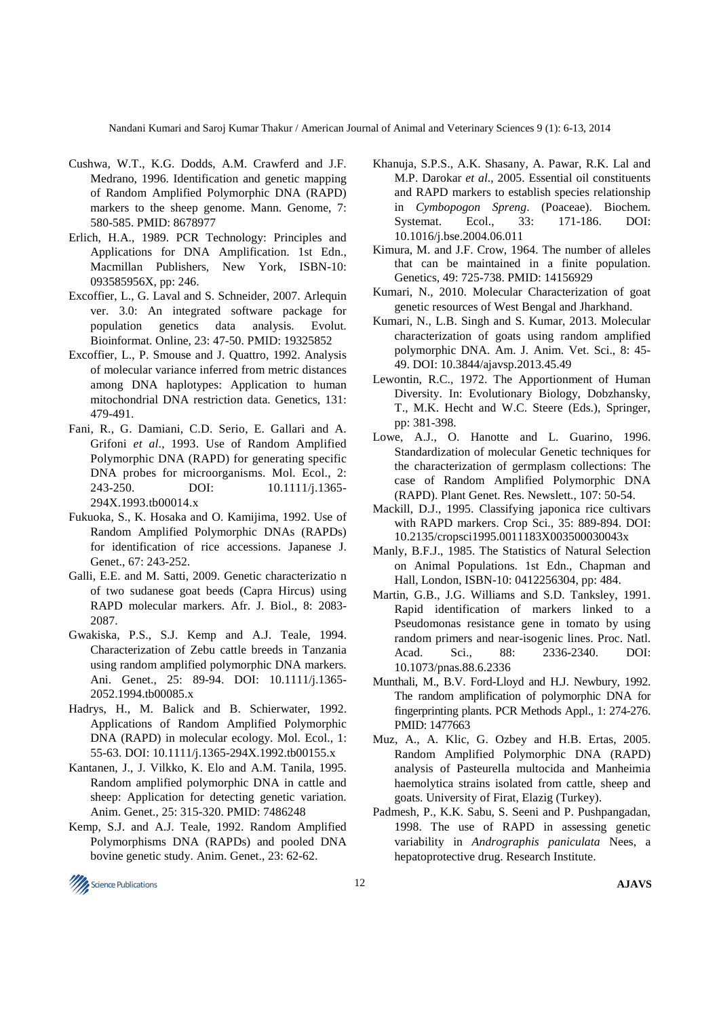Nandani Kumari and Saroj Kumar Thakur / American Journal of Animal and Veterinary Sciences 9 (1): 6-13, 2014

- Cushwa, W.T., K.G. Dodds, A.M. Crawferd and J.F. Medrano, 1996. Identification and genetic mapping of Random Amplified Polymorphic DNA (RAPD) markers to the sheep genome. Mann. Genome, 7: 580-585. PMID: 8678977
- Erlich, H.A., 1989. PCR Technology: Principles and Applications for DNA Amplification. 1st Edn., Macmillan Publishers, New York, ISBN-10: 093585956X, pp: 246.
- Excoffier, L., G. Laval and S. Schneider, 2007. Arlequin ver. 3.0: An integrated software package for population genetics data analysis. Evolut. Bioinformat. Online, 23: 47-50. PMID: 19325852
- Excoffier, L., P. Smouse and J. Quattro, 1992. Analysis of molecular variance inferred from metric distances among DNA haplotypes: Application to human mitochondrial DNA restriction data. Genetics, 131: 479-491.
- Fani, R., G. Damiani, C.D. Serio, E. Gallari and A. Grifoni *et al*., 1993. Use of Random Amplified Polymorphic DNA (RAPD) for generating specific DNA probes for microorganisms. Mol. Ecol., 2: 243-250. DOI: 10.1111/j.1365-294X.1993.tb00014.x
- Fukuoka, S., K. Hosaka and O. Kamijima, 1992. Use of Random Amplified Polymorphic DNAs (RAPDs) for identification of rice accessions. Japanese J. Genet., 67: 243-252.
- Galli, E.E. and M. Satti, 2009. Genetic characterizatio n of two sudanese goat beeds (Capra Hircus) using RAPD molecular markers. Afr. J. Biol., 8: 2083- 2087.
- Gwakiska, P.S., S.J. Kemp and A.J. Teale, 1994. Characterization of Zebu cattle breeds in Tanzania using random amplified polymorphic DNA markers. Ani. Genet., 25: 89-94. DOI: 10.1111/j.1365-2052.1994.tb00085.x
- Hadrys, H., M. Balick and B. Schierwater, 1992. Applications of Random Amplified Polymorphic DNA (RAPD) in molecular ecology. Mol. Ecol., 1: 55-63. DOI: 10.1111/j.1365-294X.1992.tb00155.x
- Kantanen, J., J. Vilkko, K. Elo and A.M. Tanila, 1995. Random amplified polymorphic DNA in cattle and sheep: Application for detecting genetic variation. Anim. Genet., 25: 315-320. PMID: 7486248
- Kemp, S.J. and A.J. Teale, 1992. Random Amplified Polymorphisms DNA (RAPDs) and pooled DNA bovine genetic study. Anim. Genet., 23: 62-62.
- Khanuja, S.P.S., A.K. Shasany, A. Pawar, R.K. Lal and M.P. Darokar *et al*., 2005. Essential oil constituents and RAPD markers to establish species relationship in *Cymbopogon Spreng*. (Poaceae). Biochem. Systemat. Ecol., 33: 171-186. DOI: 10.1016/j.bse.2004.06.011
- Kimura, M. and J.F. Crow, 1964. The number of alleles that can be maintained in a finite population. Genetics, 49: 725-738. PMID: 14156929
- Kumari, N., 2010. Molecular Characterization of goat genetic resources of West Bengal and Jharkhand.
- Kumari, N., L.B. Singh and S. Kumar, 2013. Molecular characterization of goats using random amplified polymorphic DNA. Am. J. Anim. Vet. Sci., 8: 45- 49. DOI: 10.3844/ajavsp.2013.45.49
- Lewontin, R.C., 1972. The Apportionment of Human Diversity. In: Evolutionary Biology, Dobzhansky, T., M.K. Hecht and W.C. Steere (Eds.), Springer, pp: 381-398.
- Lowe, A.J., O. Hanotte and L. Guarino, 1996. Standardization of molecular Genetic techniques for the characterization of germplasm collections: The case of Random Amplified Polymorphic DNA (RAPD). Plant Genet. Res. Newslett., 107: 50-54.
- Mackill, D.J., 1995. Classifying japonica rice cultivars with RAPD markers. Crop Sci., 35: 889-894. DOI: 10.2135/cropsci1995.0011183X003500030043x
- Manly, B.F.J., 1985. The Statistics of Natural Selection on Animal Populations. 1st Edn., Chapman and Hall, London, ISBN-10: 0412256304, pp: 484.
- Martin, G.B., J.G. Williams and S.D. Tanksley, 1991. Rapid identification of markers linked to a Pseudomonas resistance gene in tomato by using random primers and near-isogenic lines. Proc. Natl. Acad. Sci., 88: 2336-2340. DOI: 10.1073/pnas.88.6.2336
- Munthali, M., B.V. Ford-Lloyd and H.J. Newbury, 1992. The random amplification of polymorphic DNA for fingerprinting plants. PCR Methods Appl., 1: 274-276. PMID: 1477663
- Muz, A., A. Klic, G. Ozbey and H.B. Ertas, 2005. Random Amplified Polymorphic DNA (RAPD) analysis of Pasteurella multocida and Manheimia haemolytica strains isolated from cattle, sheep and goats. University of Firat, Elazig (Turkey).
- Padmesh, P., K.K. Sabu, S. Seeni and P. Pushpangadan, 1998. The use of RAPD in assessing genetic variability in *Andrographis paniculata* Nees, a hepatoprotective drug. Research Institute.